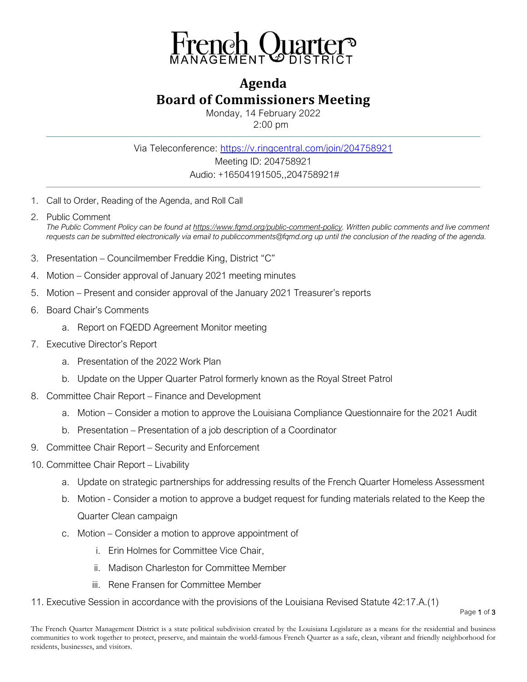

## **Agenda Board of Commissioners Meeting**

Monday, 14 February 2022 2:00 pm

Via Teleconference: <https://v.ringcentral.com/join/204758921> Meeting ID: 204758921 Audio: +16504191505,,204758921#

- 1. Call to Order, Reading of the Agenda, and Roll Call
- 2. Public Comment *The Public Comment Policy can be found a[t https://www.fqmd.org/public-comment-policy.](https://www.fqmd.org/public-comment-policy) Written public comments and live comment requests can be submitted electronically via email to publiccomments@fqmd.org up until the conclusion of the reading of the agenda.*
- 3. Presentation Councilmember Freddie King, District "C"
- 4. Motion Consider approval of January 2021 meeting minutes
- 5. Motion Present and consider approval of the January 2021 Treasurer's reports
- 6. Board Chair's Comments
	- a. Report on FQEDD Agreement Monitor meeting
- 7. Executive Director's Report
	- a. Presentation of the 2022 Work Plan
	- b. Update on the Upper Quarter Patrol formerly known as the Royal Street Patrol
- 8. Committee Chair Report Finance and Development
	- a. Motion Consider a motion to approve the Louisiana Compliance Questionnaire for the 2021 Audit
	- b. Presentation Presentation of a job description of a Coordinator
- 9. Committee Chair Report Security and Enforcement
- 10. Committee Chair Report Livability
	- a. Update on strategic partnerships for addressing results of the French Quarter Homeless Assessment
	- b. Motion Consider a motion to approve a budget request for funding materials related to the Keep the Quarter Clean campaign
	- c. Motion Consider a motion to approve appointment of
		- i. Erin Holmes for Committee Vice Chair,
		- ii. Madison Charleston for Committee Member
		- iii. Rene Fransen for Committee Member
- 11. Executive Session in accordance with the provisions of the Louisiana Revised Statute 42:17.A.(1)

Page 1 of 3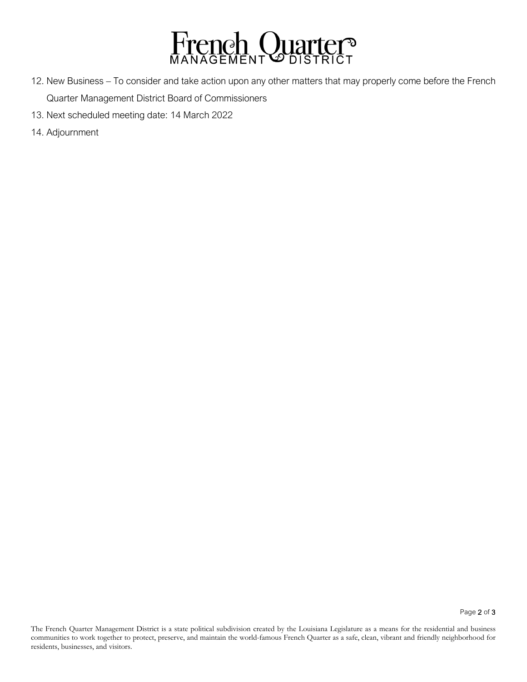

- 12. New Business To consider and take action upon any other matters that may properly come before the French Quarter Management District Board of Commissioners
- 13. Next scheduled meeting date: 14 March 2022
- 14. Adjournment